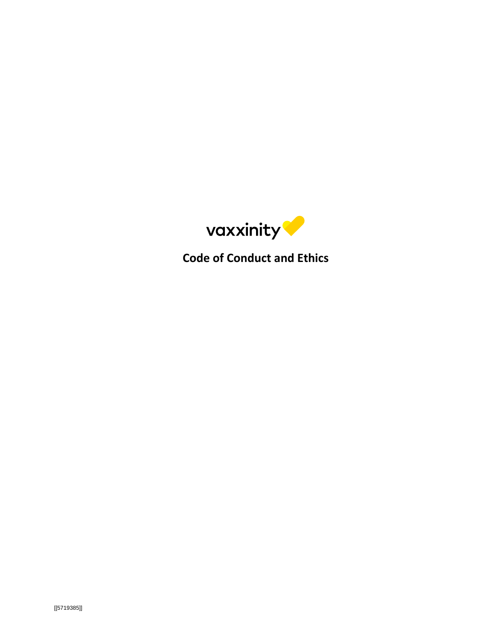

**Code of Conduct and Ethics**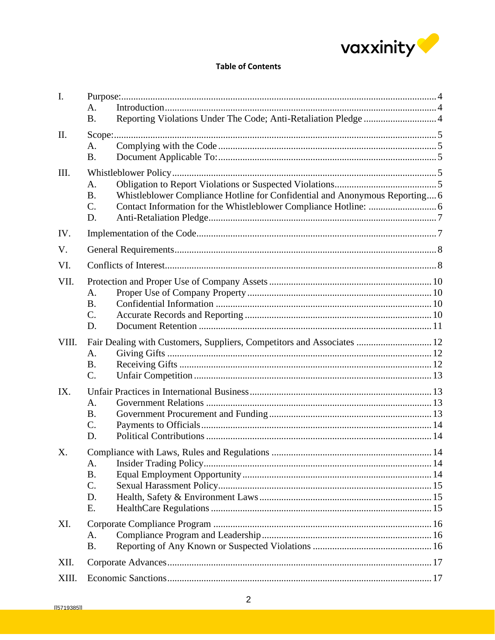

## **Table of Contents**

| $\mathbf{I}$ . | A.                                                                                       |  |  |  |
|----------------|------------------------------------------------------------------------------------------|--|--|--|
|                | Reporting Violations Under The Code; Anti-Retaliation Pledge  4<br><b>B.</b>             |  |  |  |
| II.            |                                                                                          |  |  |  |
|                | A.                                                                                       |  |  |  |
|                | <b>B.</b>                                                                                |  |  |  |
| III.           |                                                                                          |  |  |  |
|                | A.                                                                                       |  |  |  |
|                | Whistleblower Compliance Hotline for Confidential and Anonymous Reporting 6<br><b>B.</b> |  |  |  |
|                | $\mathcal{C}$ .<br>D.                                                                    |  |  |  |
|                |                                                                                          |  |  |  |
| IV.            |                                                                                          |  |  |  |
| V.             |                                                                                          |  |  |  |
| VI.            |                                                                                          |  |  |  |
| VII.           |                                                                                          |  |  |  |
|                | A.                                                                                       |  |  |  |
|                | <b>B.</b>                                                                                |  |  |  |
|                | C.                                                                                       |  |  |  |
|                | D.                                                                                       |  |  |  |
| VIII.          | Fair Dealing with Customers, Suppliers, Competitors and Associates  12                   |  |  |  |
|                | A.                                                                                       |  |  |  |
|                | <b>B.</b>                                                                                |  |  |  |
|                | C.                                                                                       |  |  |  |
| IX.            |                                                                                          |  |  |  |
|                | A <sub>1</sub>                                                                           |  |  |  |
|                | <b>B.</b><br>$\mathcal{C}$ .                                                             |  |  |  |
|                | D.                                                                                       |  |  |  |
|                |                                                                                          |  |  |  |
| X.             | A.                                                                                       |  |  |  |
|                | <b>B.</b>                                                                                |  |  |  |
|                | C.                                                                                       |  |  |  |
|                | D.                                                                                       |  |  |  |
|                | E.                                                                                       |  |  |  |
| XI.            |                                                                                          |  |  |  |
|                | A.                                                                                       |  |  |  |
|                | <b>B.</b>                                                                                |  |  |  |
| XII.           |                                                                                          |  |  |  |
| XIII.          |                                                                                          |  |  |  |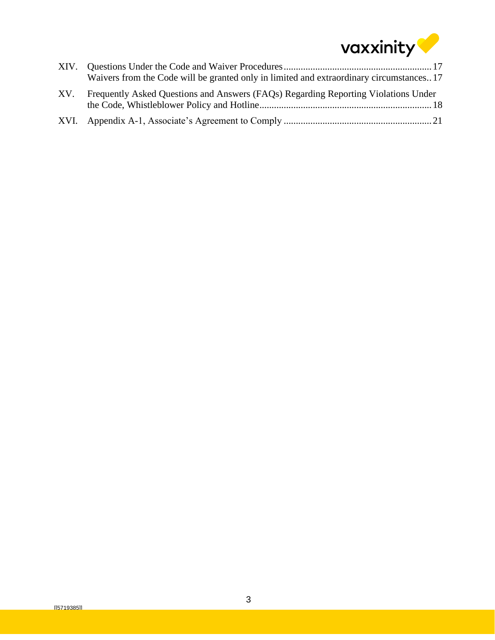

|     | Waivers from the Code will be granted only in limited and extraordinary circumstances 17 |
|-----|------------------------------------------------------------------------------------------|
| XV. | Frequently Asked Questions and Answers (FAQs) Regarding Reporting Violations Under       |
|     |                                                                                          |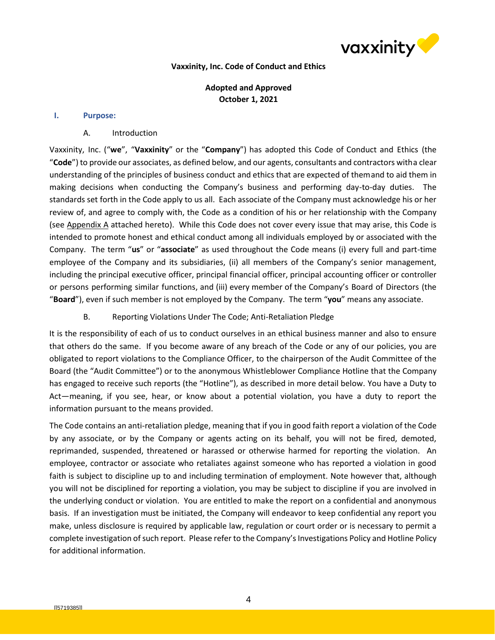

#### **Vaxxinity, Inc. Code of Conduct and Ethics**

**Adopted and Approved October 1, 2021**

#### <span id="page-3-1"></span><span id="page-3-0"></span>**I. Purpose:**

#### A. Introduction

Vaxxinity, Inc. ("**we**", "**Vaxxinity**" or the "**Company**") has adopted this Code of Conduct and Ethics (the "**Code**") to provide our associates, as defined below, and our agents, consultants and contractors witha clear understanding of the principles of business conduct and ethics that are expected of themand to aid them in making decisions when conducting the Company's business and performing day-to-day duties. The standards set forth in the Code apply to us all. Each associate of the Company must acknowledge his or her review of, and agree to comply with, the Code as a condition of his or her relationship with the Company (see Appendix A attached hereto). While this Code does not cover every issue that may arise, this Code is intended to promote honest and ethical conduct among all individuals employed by or associated with the Company. The term "**us**" or "**associate**" as used throughout the Code means (i) every full and part-time employee of the Company and its subsidiaries, (ii) all members of the Company's senior management, including the principal executive officer, principal financial officer, principal accounting officer or controller or persons performing similar functions, and (iii) every member of the Company's Board of Directors (the "**Board**"), even if such member is not employed by the Company. The term "**you**" means any associate.

#### B. Reporting Violations Under The Code; Anti-Retaliation Pledge

<span id="page-3-2"></span>It is the responsibility of each of us to conduct ourselves in an ethical business manner and also to ensure that others do the same. If you become aware of any breach of the Code or any of our policies, you are obligated to report violations to the Compliance Officer, to the chairperson of the Audit Committee of the Board (the "Audit Committee") or to the anonymous Whistleblower Compliance Hotline that the Company has engaged to receive such reports (the "Hotline"), as described in more detail below. You have a Duty to Act—meaning, if you see, hear, or know about a potential violation, you have a duty to report the information pursuant to the means provided.

The Code contains an anti-retaliation pledge, meaning that if you in good faith report a violation of the Code by any associate, or by the Company or agents acting on its behalf, you will not be fired, demoted, reprimanded, suspended, threatened or harassed or otherwise harmed for reporting the violation. An employee, contractor or associate who retaliates against someone who has reported a violation in good faith is subject to discipline up to and including termination of employment. Note however that, although you will not be disciplined for reporting a violation, you may be subject to discipline if you are involved in the underlying conduct or violation. You are entitled to make the report on a confidential and anonymous basis. If an investigation must be initiated, the Company will endeavor to keep confidential any report you make, unless disclosure is required by applicable law, regulation or court order or is necessary to permit a complete investigation of such report. Please refer to the Company's Investigations Policy and Hotline Policy for additional information.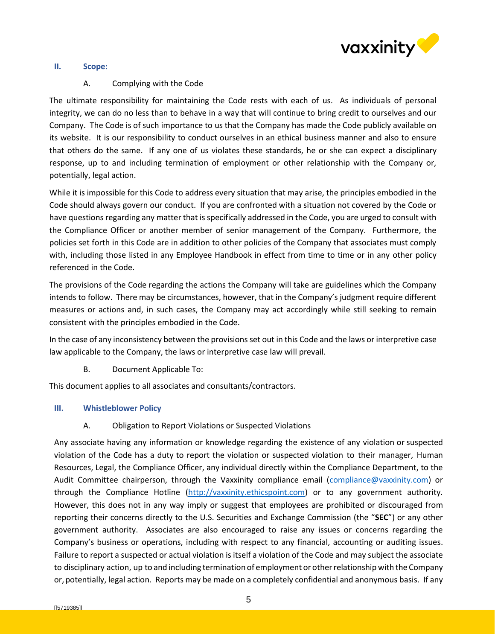

## <span id="page-4-1"></span><span id="page-4-0"></span>**II. Scope:**

## A. Complying with the Code

The ultimate responsibility for maintaining the Code rests with each of us. As individuals of personal integrity, we can do no less than to behave in a way that will continue to bring credit to ourselves and our Company. The Code is of such importance to us that the Company has made the Code publicly available on its website. It is our responsibility to conduct ourselves in an ethical business manner and also to ensure that others do the same. If any one of us violates these standards, he or she can expect a disciplinary response, up to and including termination of employment or other relationship with the Company or, potentially, legal action.

While it is impossible for this Code to address every situation that may arise, the principles embodied in the Code should always govern our conduct. If you are confronted with a situation not covered by the Code or have questions regarding any matter that is specifically addressed in the Code, you are urged to consult with the Compliance Officer or another member of senior management of the Company. Furthermore, the policies set forth in this Code are in addition to other policies of the Company that associates must comply with, including those listed in any Employee Handbook in effect from time to time or in any other policy referenced in the Code.

The provisions of the Code regarding the actions the Company will take are guidelines which the Company intends to follow. There may be circumstances, however, that in the Company's judgment require different measures or actions and, in such cases, the Company may act accordingly while still seeking to remain consistent with the principles embodied in the Code.

In the case of any inconsistency between the provisions set out in this Code and the laws or interpretive case law applicable to the Company, the laws or interpretive case law will prevail.

B. Document Applicable To:

<span id="page-4-2"></span>This document applies to all associates and consultants/contractors.

## <span id="page-4-4"></span><span id="page-4-3"></span>**III. Whistleblower Policy**

## A. Obligation to Report Violations or Suspected Violations

Any associate having any information or knowledge regarding the existence of any violation or suspected violation of the Code has a duty to report the violation or suspected violation to their manager, Human Resources, Legal, the Compliance Officer, any individual directly within the Compliance Department, to the Audit Committee chairperson, through the Vaxxinity compliance email [\(compliance@vaxxinity.com\)](mailto:compliance@vaxxinity.com) or through the Compliance Hotline [\(http://vaxxinity.ethicspoint.com\)](http://vaxxinity.ethicspoint.com/) or to any government authority. However, this does not in any way imply or suggest that employees are prohibited or discouraged from reporting their concerns directly to the U.S. Securities and Exchange Commission (the "**SEC**") or any other government authority. Associates are also encouraged to raise any issues or concerns regarding the Company's business or operations, including with respect to any financial, accounting or auditing issues. Failure to report a suspected or actual violation is itself a violation of the Code and may subject the associate to disciplinary action, up to and including termination of employment or otherrelationship with the Company or, potentially, legal action. Reports may be made on a completely confidential and anonymous basis. If any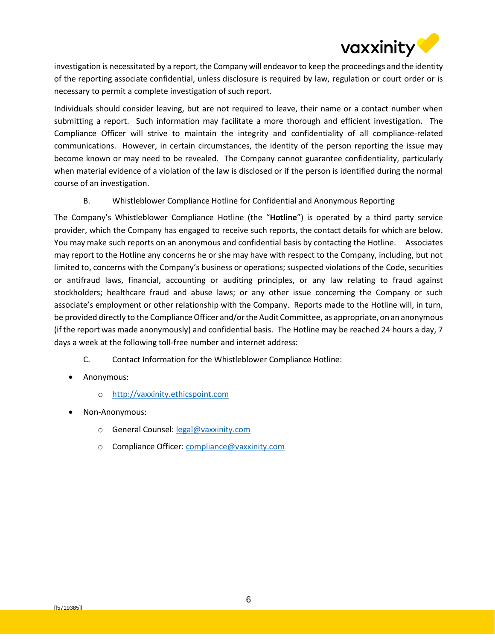

investigation is necessitated by a report, the Company will endeavor to keep the proceedings and the identity of the reporting associate confidential, unless disclosure is required by law, regulation or court order or is necessary to permit a complete investigation of such report.

Individuals should consider leaving, but are not required to leave, their name or a contact number when submitting a report. Such information may facilitate a more thorough and efficient investigation. The Compliance Officer will strive to maintain the integrity and confidentiality of all compliance-related communications. However, in certain circumstances, the identity of the person reporting the issue may become known or may need to be revealed. The Company cannot guarantee confidentiality, particularly when material evidence of a violation of the law is disclosed or if the person is identified during the normal course of an investigation.

B. Whistleblower Compliance Hotline for Confidential and Anonymous Reporting

<span id="page-5-0"></span>The Company's Whistleblower Compliance Hotline (the "**Hotline**") is operated by a third party service provider, which the Company has engaged to receive such reports, the contact details for which are below. You may make such reports on an anonymous and confidential basis by contacting the Hotline. Associates may report to the Hotline any concerns he or she may have with respect to the Company, including, but not limited to, concerns with the Company's business or operations; suspected violations of the Code, securities or antifraud laws, financial, accounting or auditing principles, or any law relating to fraud against stockholders; healthcare fraud and abuse laws; or any other issue concerning the Company or such associate's employment or other relationship with the Company. Reports made to the Hotline will, in turn, be provided directly to the Compliance Officer and/or the Audit Committee, as appropriate, on an anonymous (if the report was made anonymously) and confidential basis. The Hotline may be reached 24 hours a day, 7 days a week at the following toll-free number and internet address:

- C. Contact Information for the Whistleblower Compliance Hotline:
- <span id="page-5-1"></span>• Anonymous:
	- o [http://vaxxinity.ethicspoint.com](http://vaxxinity.ethicspoint.com/)
- Non-Anonymous:
	- o General Counsel[: legal@vaxxinity.com](mailto:legal@vaxxinity.com)
	- o Compliance Officer: [compliance@vaxxinity.com](mailto:compliance@vaxxinity.com)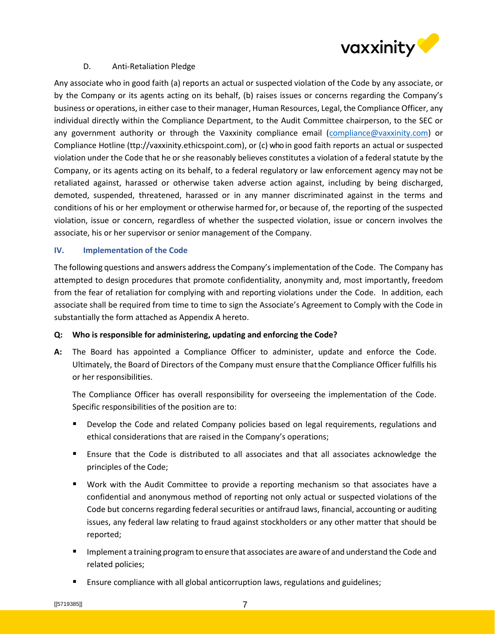

## D. Anti-Retaliation Pledge

<span id="page-6-0"></span>Any associate who in good faith (a) reports an actual or suspected violation of the Code by any associate, or by the Company or its agents acting on its behalf, (b) raises issues or concerns regarding the Company's business or operations, in either case to their manager, Human Resources, Legal, the Compliance Officer, any individual directly within the Compliance Department, to the Audit Committee chairperson, to the SEC or any government authority or through the Vaxxinity compliance email [\(compliance@vaxxinity.com\)](mailto:compliance@vaxxinity.com) or Compliance Hotline (ttp://vaxxinity.ethicspoint.com), or (c) who in good faith reports an actual or suspected violation under the Code that he or she reasonably believes constitutes a violation of a federal statute by the Company, or its agents acting on its behalf, to a federal regulatory or law enforcement agency may not be retaliated against, harassed or otherwise taken adverse action against, including by being discharged, demoted, suspended, threatened, harassed or in any manner discriminated against in the terms and conditions of his or her employment or otherwise harmed for, or because of, the reporting of the suspected violation, issue or concern, regardless of whether the suspected violation, issue or concern involves the associate, his or her supervisor or senior management of the Company.

## <span id="page-6-1"></span>**IV. Implementation of the Code**

The following questions and answers address the Company's implementation of the Code. The Company has attempted to design procedures that promote confidentiality, anonymity and, most importantly, freedom from the fear of retaliation for complying with and reporting violations under the Code. In addition, each associate shall be required from time to time to sign the Associate's Agreement to Comply with the Code in substantially the form attached as Appendix A hereto.

## **Q: Who is responsible for administering, updating and enforcing the Code?**

**A:** The Board has appointed a Compliance Officer to administer, update and enforce the Code. Ultimately, the Board of Directors of the Company must ensure thatthe Compliance Officer fulfills his or her responsibilities.

The Compliance Officer has overall responsibility for overseeing the implementation of the Code. Specific responsibilities of the position are to:

- Develop the Code and related Company policies based on legal requirements, regulations and ethical considerations that are raised in the Company's operations;
- Ensure that the Code is distributed to all associates and that all associates acknowledge the principles of the Code;
- Work with the Audit Committee to provide a reporting mechanism so that associates have a confidential and anonymous method of reporting not only actual or suspected violations of the Code but concerns regarding federal securities or antifraud laws, financial, accounting or auditing issues, any federal law relating to fraud against stockholders or any other matter that should be reported;
- Implement a training program to ensure that associates are aware of and understand the Code and related policies;
- Ensure compliance with all global anticorruption laws, regulations and guidelines;

[[5719385]] 7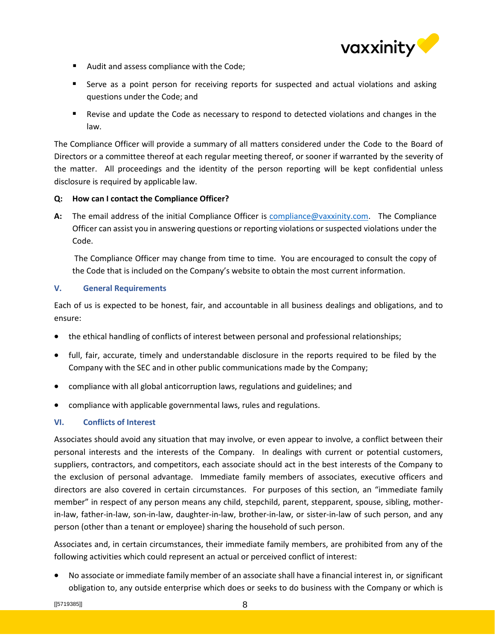

- Audit and assess compliance with the Code;
- **E** Serve as a point person for receiving reports for suspected and actual violations and asking questions under the Code; and
- Revise and update the Code as necessary to respond to detected violations and changes in the law.

The Compliance Officer will provide a summary of all matters considered under the Code to the Board of Directors or a committee thereof at each regular meeting thereof, or sooner if warranted by the severity of the matter. All proceedings and the identity of the person reporting will be kept confidential unless disclosure is required by applicable law.

## **Q: How can I contact the Compliance Officer?**

**A:** The email address of the initial Compliance Officer is [compliance@vaxxinity.com.](mailto:compliance@vaxxinity.com) The Compliance Officer can assist you in answering questions or reporting violations orsuspected violations under the Code.

The Compliance Officer may change from time to time. You are encouraged to consult the copy of the Code that is included on the Company's website to obtain the most current information.

#### <span id="page-7-0"></span>**V. General Requirements**

Each of us is expected to be honest, fair, and accountable in all business dealings and obligations, and to ensure:

- the ethical handling of conflicts of interest between personal and professional relationships;
- full, fair, accurate, timely and understandable disclosure in the reports required to be filed by the Company with the SEC and in other public communications made by the Company;
- compliance with all global anticorruption laws, regulations and guidelines; and
- compliance with applicable governmental laws, rules and regulations.

## <span id="page-7-1"></span>**VI. Conflicts of Interest**

Associates should avoid any situation that may involve, or even appear to involve, a conflict between their personal interests and the interests of the Company. In dealings with current or potential customers, suppliers, contractors, and competitors, each associate should act in the best interests of the Company to the exclusion of personal advantage. Immediate family members of associates, executive officers and directors are also covered in certain circumstances. For purposes of this section, an "immediate family member" in respect of any person means any child, stepchild, parent, stepparent, spouse, sibling, motherin-law, father-in-law, son-in-law, daughter-in-law, brother-in-law, or sister-in-law of such person, and any person (other than a tenant or employee) sharing the household of such person.

Associates and, in certain circumstances, their immediate family members, are prohibited from any of the following activities which could represent an actual or perceived conflict of interest:

• No associate or immediate family member of an associate shall have a financial interest in, or significant obligation to, any outside enterprise which does or seeks to do business with the Company or which is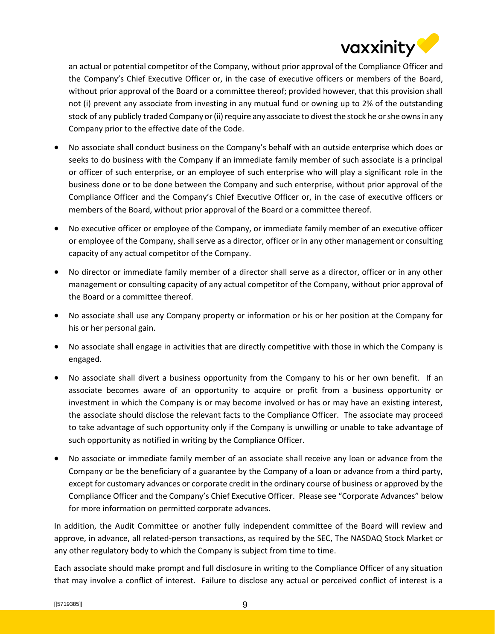

an actual or potential competitor of the Company, without prior approval of the Compliance Officer and the Company's Chief Executive Officer or, in the case of executive officers or members of the Board, without prior approval of the Board or a committee thereof; provided however, that this provision shall not (i) prevent any associate from investing in any mutual fund or owning up to 2% of the outstanding stock of any publicly traded Company or (ii) require any associate to divest the stock he or she owns in any Company prior to the effective date of the Code.

- No associate shall conduct business on the Company's behalf with an outside enterprise which does or seeks to do business with the Company if an immediate family member of such associate is a principal or officer of such enterprise, or an employee of such enterprise who will play a significant role in the business done or to be done between the Company and such enterprise, without prior approval of the Compliance Officer and the Company's Chief Executive Officer or, in the case of executive officers or members of the Board, without prior approval of the Board or a committee thereof.
- No executive officer or employee of the Company, or immediate family member of an executive officer or employee of the Company, shall serve as a director, officer or in any other management or consulting capacity of any actual competitor of the Company.
- No director or immediate family member of a director shall serve as a director, officer or in any other management or consulting capacity of any actual competitor of the Company, without prior approval of the Board or a committee thereof.
- No associate shall use any Company property or information or his or her position at the Company for his or her personal gain.
- No associate shall engage in activities that are directly competitive with those in which the Company is engaged.
- No associate shall divert a business opportunity from the Company to his or her own benefit. If an associate becomes aware of an opportunity to acquire or profit from a business opportunity or investment in which the Company is or may become involved or has or may have an existing interest, the associate should disclose the relevant facts to the Compliance Officer. The associate may proceed to take advantage of such opportunity only if the Company is unwilling or unable to take advantage of such opportunity as notified in writing by the Compliance Officer.
- No associate or immediate family member of an associate shall receive any loan or advance from the Company or be the beneficiary of a guarantee by the Company of a loan or advance from a third party, except for customary advances or corporate credit in the ordinary course of business or approved by the Compliance Officer and the Company's Chief Executive Officer. Please see "Corporate Advances" below for more information on permitted corporate advances.

In addition, the Audit Committee or another fully independent committee of the Board will review and approve, in advance, all related-person transactions, as required by the SEC, The NASDAQ Stock Market or any other regulatory body to which the Company is subject from time to time.

Each associate should make prompt and full disclosure in writing to the Compliance Officer of any situation that may involve a conflict of interest. Failure to disclose any actual or perceived conflict of interest is a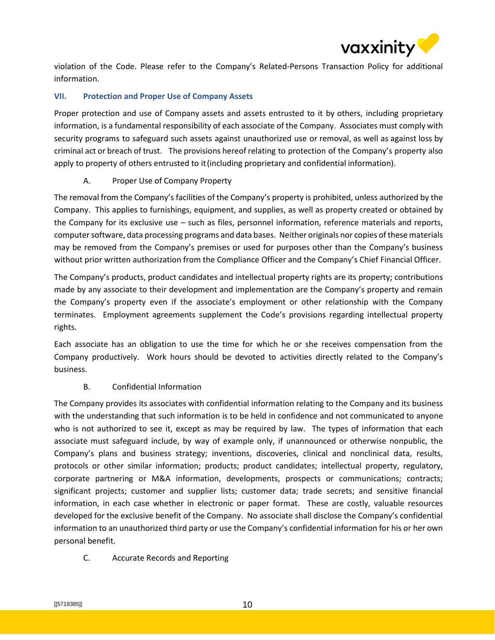

violation of the Code. Please refer to the Company's Related-Persons Transaction Policy for additional information.

## <span id="page-9-0"></span>**VII. Protection and Proper Use of Company Assets**

Proper protection and use of Company assets and assets entrusted to it by others, including proprietary information, is a fundamental responsibility of each associate of the Company. Associates must comply with security programs to safeguard such assets against unauthorized use or removal, as well as against loss by criminal act or breach of trust. The provisions hereof relating to protection of the Company's property also apply to property of others entrusted to it (including proprietary and confidential information).

## A. Proper Use of Company Property

<span id="page-9-1"></span>The removal from the Company's facilities of the Company's property is prohibited, unless authorized by the Company. This applies to furnishings, equipment, and supplies, as well as property created or obtained by the Company for its exclusive use – such as files, personnel information, reference materials and reports, computer software, data processing programs and data bases. Neither originals nor copies of these materials may be removed from the Company's premises or used for purposes other than the Company's business without prior written authorization from the Compliance Officer and the Company's Chief Financial Officer.

The Company's products, product candidates and intellectual property rights are its property; contributions made by any associate to their development and implementation are the Company's property and remain the Company's property even if the associate's employment or other relationship with the Company terminates. Employment agreements supplement the Code's provisions regarding intellectual property rights.

Each associate has an obligation to use the time for which he or she receives compensation from the Company productively. Work hours should be devoted to activities directly related to the Company's business.

## B. Confidential Information

<span id="page-9-2"></span>The Company provides its associates with confidential information relating to the Company and its business with the understanding that such information is to be held in confidence and not communicated to anyone who is not authorized to see it, except as may be required by law. The types of information that each associate must safeguard include, by way of example only, if unannounced or otherwise nonpublic, the Company's plans and business strategy; inventions, discoveries, clinical and nonclinical data, results, protocols or other similar information; products; product candidates; intellectual property, regulatory, corporate partnering or M&A information, developments, prospects or communications; contracts; significant projects; customer and supplier lists; customer data; trade secrets; and sensitive financial information, in each case whether in electronic or paper format. These are costly, valuable resources developed for the exclusive benefit of the Company. No associate shall disclose the Company's confidential information to an unauthorized third party or use the Company's confidential information for his or her own personal benefit.

<span id="page-9-3"></span>C. Accurate Records and Reporting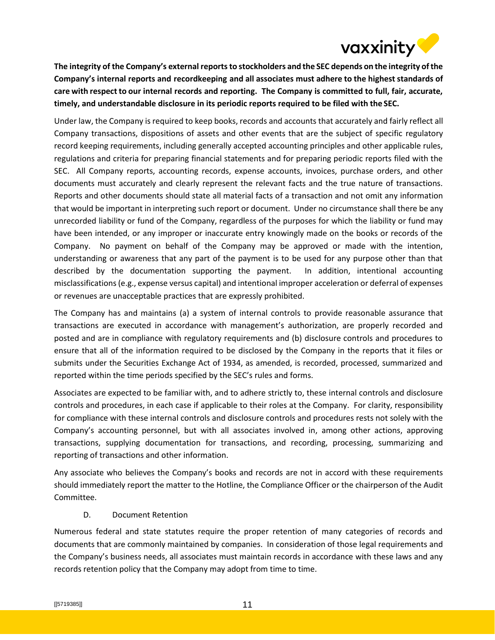

**The integrity of the Company's external reports to stockholders and the SEC depends on the integrity ofthe Company's internal reports and recordkeeping and all associates must adhere to the higheststandards of care with respect to our internal records and reporting. The Company is committed to full, fair, accurate, timely, and understandable disclosure in its periodic reports required to be filed with the SEC.**

Under law, the Company is required to keep books, records and accounts that accurately and fairly reflect all Company transactions, dispositions of assets and other events that are the subject of specific regulatory record keeping requirements, including generally accepted accounting principles and other applicable rules, regulations and criteria for preparing financial statements and for preparing periodic reports filed with the SEC. All Company reports, accounting records, expense accounts, invoices, purchase orders, and other documents must accurately and clearly represent the relevant facts and the true nature of transactions. Reports and other documents should state all material facts of a transaction and not omit any information that would be important in interpreting such report or document. Under no circumstance shall there be any unrecorded liability or fund of the Company, regardless of the purposes for which the liability or fund may have been intended, or any improper or inaccurate entry knowingly made on the books or records of the Company. No payment on behalf of the Company may be approved or made with the intention, understanding or awareness that any part of the payment is to be used for any purpose other than that described by the documentation supporting the payment. In addition, intentional accounting misclassifications (e.g., expense versus capital) and intentional improper acceleration or deferral of expenses or revenues are unacceptable practices that are expressly prohibited.

The Company has and maintains (a) a system of internal controls to provide reasonable assurance that transactions are executed in accordance with management's authorization, are properly recorded and posted and are in compliance with regulatory requirements and (b) disclosure controls and procedures to ensure that all of the information required to be disclosed by the Company in the reports that it files or submits under the Securities Exchange Act of 1934, as amended, is recorded, processed, summarized and reported within the time periods specified by the SEC's rules and forms.

Associates are expected to be familiar with, and to adhere strictly to, these internal controls and disclosure controls and procedures, in each case if applicable to their roles at the Company. For clarity, responsibility for compliance with these internal controls and disclosure controls and procedures rests not solely with the Company's accounting personnel, but with all associates involved in, among other actions, approving transactions, supplying documentation for transactions, and recording, processing, summarizing and reporting of transactions and other information.

Any associate who believes the Company's books and records are not in accord with these requirements should immediately report the matter to the Hotline, the Compliance Officer or the chairperson of the Audit Committee.

## D. Document Retention

<span id="page-10-0"></span>Numerous federal and state statutes require the proper retention of many categories of records and documents that are commonly maintained by companies. In consideration of those legal requirements and the Company's business needs, all associates must maintain records in accordance with these laws and any records retention policy that the Company may adopt from time to time.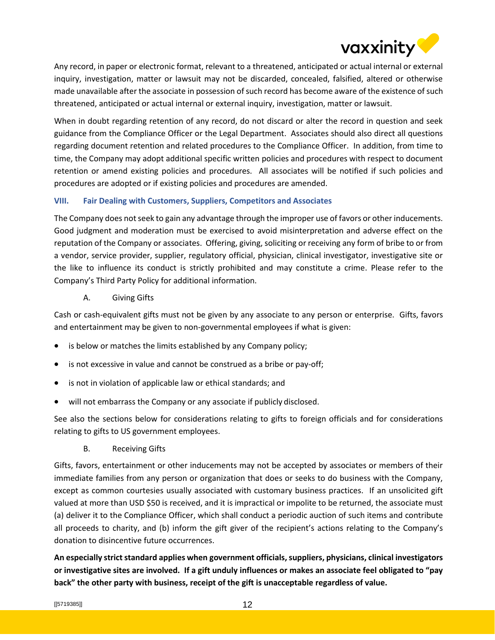

Any record, in paper or electronic format, relevant to a threatened, anticipated or actual internal or external inquiry, investigation, matter or lawsuit may not be discarded, concealed, falsified, altered or otherwise made unavailable after the associate in possession of such record has become aware of the existence of such threatened, anticipated or actual internal or external inquiry, investigation, matter or lawsuit.

When in doubt regarding retention of any record, do not discard or alter the record in question and seek guidance from the Compliance Officer or the Legal Department. Associates should also direct all questions regarding document retention and related procedures to the Compliance Officer. In addition, from time to time, the Company may adopt additional specific written policies and procedures with respect to document retention or amend existing policies and procedures. All associates will be notified if such policies and procedures are adopted or if existing policies and procedures are amended.

## <span id="page-11-0"></span>**VIII. Fair Dealing with Customers, Suppliers, Competitors and Associates**

The Company does not seek to gain any advantage through the improper use of favors or other inducements. Good judgment and moderation must be exercised to avoid misinterpretation and adverse effect on the reputation of the Company or associates. Offering, giving, soliciting or receiving any form of bribe to or from a vendor, service provider, supplier, regulatory official, physician, clinical investigator, investigative site or the like to influence its conduct is strictly prohibited and may constitute a crime. Please refer to the Company's Third Party Policy for additional information.

A. Giving Gifts

<span id="page-11-1"></span>Cash or cash-equivalent gifts must not be given by any associate to any person or enterprise. Gifts, favors and entertainment may be given to non-governmental employees if what is given:

- is below or matches the limits established by any Company policy;
- is not excessive in value and cannot be construed as a bribe or pay-off;
- is not in violation of applicable law or ethical standards; and
- will not embarrass the Company or any associate if publicly disclosed.

See also the sections below for considerations relating to gifts to foreign officials and for considerations relating to gifts to US government employees.

B. Receiving Gifts

<span id="page-11-2"></span>Gifts, favors, entertainment or other inducements may not be accepted by associates or members of their immediate families from any person or organization that does or seeks to do business with the Company, except as common courtesies usually associated with customary business practices. If an unsolicited gift valued at more than USD \$50 is received, and it is impractical or impolite to be returned, the associate must (a) deliver it to the Compliance Officer, which shall conduct a periodic auction of such items and contribute all proceeds to charity, and (b) inform the gift giver of the recipient's actions relating to the Company's donation to disincentive future occurrences.

**An especially strict standard applies when government officials, suppliers, physicians, clinical investigators or investigative sites are involved. If a gift unduly influences or makes an associate feel obligated to "pay back" the other party with business, receipt of the gift is unacceptable regardless of value.**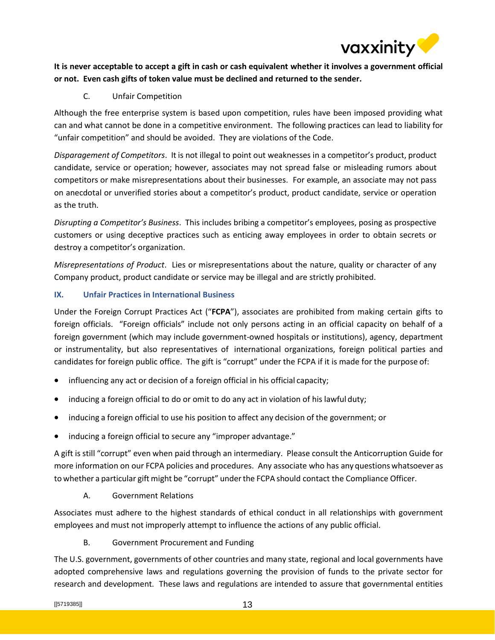

## **It is never acceptable to accept a gift in cash or cash equivalent whether it involves a government official or not. Even cash gifts of token value must be declined and returned to the sender.**

## C. Unfair Competition

<span id="page-12-0"></span>Although the free enterprise system is based upon competition, rules have been imposed providing what can and what cannot be done in a competitive environment. The following practices can lead to liability for "unfair competition" and should be avoided. They are violations of the Code.

*Disparagement of Competitors*. It is not illegal to point out weaknesses in a competitor's product, product candidate, service or operation; however, associates may not spread false or misleading rumors about competitors or make misrepresentations about their businesses. For example, an associate may not pass on anecdotal or unverified stories about a competitor's product, product candidate, service or operation as the truth.

*Disrupting a Competitor's Business*. This includes bribing a competitor's employees, posing as prospective customers or using deceptive practices such as enticing away employees in order to obtain secrets or destroy a competitor's organization.

*Misrepresentations of Product*. Lies or misrepresentations about the nature, quality or character of any Company product, product candidate or service may be illegal and are strictly prohibited.

## <span id="page-12-1"></span>**IX. Unfair Practices in International Business**

Under the Foreign Corrupt Practices Act ("**FCPA**"), associates are prohibited from making certain gifts to foreign officials. "Foreign officials" include not only persons acting in an official capacity on behalf of a foreign government (which may include government-owned hospitals or institutions), agency, department or instrumentality, but also representatives of international organizations, foreign political parties and candidates for foreign public office. The gift is "corrupt" under the FCPA if it is made for the purpose of:

- influencing any act or decision of a foreign official in his official capacity;
- inducing a foreign official to do or omit to do any act in violation of his lawful duty;
- inducing a foreign official to use his position to affect any decision of the government; or
- inducing a foreign official to secure any "improper advantage."

A gift is still "corrupt" even when paid through an intermediary. Please consult the Anticorruption Guide for more information on our FCPA policies and procedures. Any associate who has any questions whatsoever as to whether a particular gift might be "corrupt" underthe FCPA should contact the Compliance Officer.

## A. Government Relations

<span id="page-12-2"></span>Associates must adhere to the highest standards of ethical conduct in all relationships with government employees and must not improperly attempt to influence the actions of any public official.

## B. Government Procurement and Funding

<span id="page-12-3"></span>The U.S. government, governments of other countries and many state, regional and local governments have adopted comprehensive laws and regulations governing the provision of funds to the private sector for research and development. These laws and regulations are intended to assure that governmental entities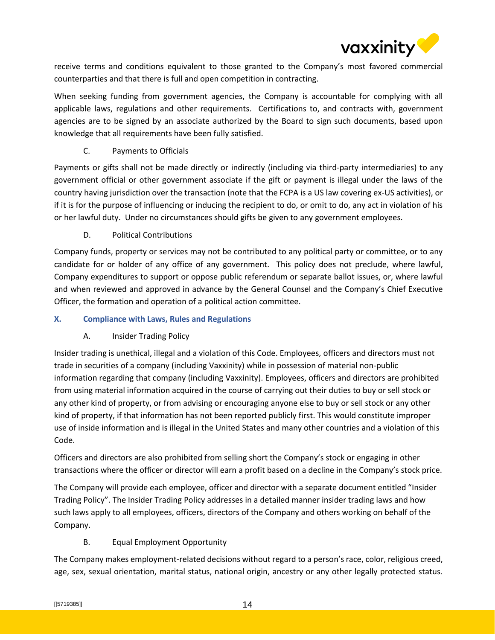

receive terms and conditions equivalent to those granted to the Company's most favored commercial counterparties and that there is full and open competition in contracting.

When seeking funding from government agencies, the Company is accountable for complying with all applicable laws, regulations and other requirements. Certifications to, and contracts with, government agencies are to be signed by an associate authorized by the Board to sign such documents, based upon knowledge that all requirements have been fully satisfied.

## C. Payments to Officials

<span id="page-13-0"></span>Payments or gifts shall not be made directly or indirectly (including via third-party intermediaries) to any government official or other government associate if the gift or payment is illegal under the laws of the country having jurisdiction over the transaction (note that the FCPA is a US law covering ex-US activities), or if it is for the purpose of influencing or inducing the recipient to do, or omit to do, any act in violation of his or her lawful duty. Under no circumstances should gifts be given to any government employees.

D. Political Contributions

<span id="page-13-1"></span>Company funds, property or services may not be contributed to any political party or committee, or to any candidate for or holder of any office of any government. This policy does not preclude, where lawful, Company expenditures to support or oppose public referendum or separate ballot issues, or, where lawful and when reviewed and approved in advance by the General Counsel and the Company's Chief Executive Officer, the formation and operation of a political action committee.

## <span id="page-13-2"></span>**X. Compliance with Laws, Rules and Regulations**

## A. Insider Trading Policy

<span id="page-13-3"></span>Insider trading is unethical, illegal and a violation of this Code. Employees, officers and directors must not trade in securities of a company (including Vaxxinity) while in possession of material non-public information regarding that company (including Vaxxinity). Employees, officers and directors are prohibited from using material information acquired in the course of carrying out their duties to buy or sell stock or any other kind of property, or from advising or encouraging anyone else to buy or sell stock or any other kind of property, if that information has not been reported publicly first. This would constitute improper use of inside information and is illegal in the United States and many other countries and a violation of this Code.

Officers and directors are also prohibited from selling short the Company's stock or engaging in other transactions where the officer or director will earn a profit based on a decline in the Company's stock price.

The Company will provide each employee, officer and director with a separate document entitled "Insider Trading Policy". The Insider Trading Policy addresses in a detailed manner insider trading laws and how such laws apply to all employees, officers, directors of the Company and others working on behalf of the Company.

## B. Equal Employment Opportunity

<span id="page-13-4"></span>The Company makes employment-related decisions without regard to a person's race, color, religious creed, age, sex, sexual orientation, marital status, national origin, ancestry or any other legally protected status.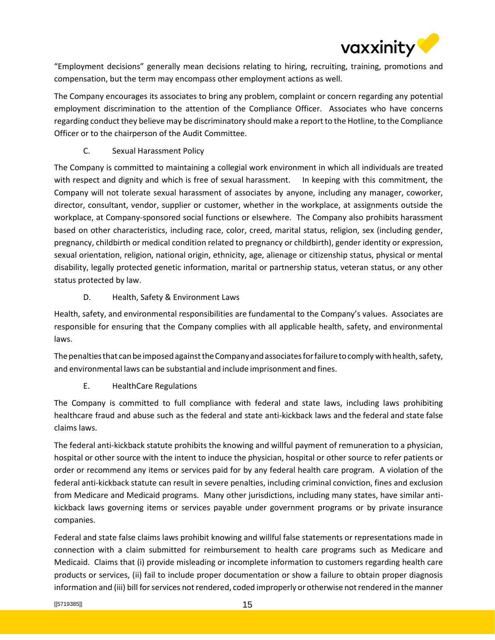

"Employment decisions" generally mean decisions relating to hiring, recruiting, training, promotions and compensation, but the term may encompass other employment actions as well.

The Company encourages its associates to bring any problem, complaint or concern regarding any potential employment discrimination to the attention of the Compliance Officer. Associates who have concerns regarding conduct they believe may be discriminatory should make a report to the Hotline, to the Compliance Officer or to the chairperson of the Audit Committee.

## C. Sexual Harassment Policy

<span id="page-14-0"></span>The Company is committed to maintaining a collegial work environment in which all individuals are treated with respect and dignity and which is free of sexual harassment. In keeping with this commitment, the Company will not tolerate sexual harassment of associates by anyone, including any manager, coworker, director, consultant, vendor, supplier or customer, whether in the workplace, at assignments outside the workplace, at Company-sponsored social functions or elsewhere. The Company also prohibits harassment based on other characteristics, including race, color, creed, marital status, religion, sex (including gender, pregnancy, childbirth or medical condition related to pregnancy or childbirth), gender identity or expression, sexual orientation, religion, national origin, ethnicity, age, alienage or citizenship status, physical or mental disability, legally protected genetic information, marital or partnership status, veteran status, or any other status protected by law.

D. Health, Safety & Environment Laws

<span id="page-14-1"></span>Health, safety, and environmental responsibilities are fundamental to the Company's values. Associates are responsible for ensuring that the Company complies with all applicable health, safety, and environmental laws.

The penalties that can be imposed against the Company and associates for failure to comply with health, safety, and environmental laws can be substantial and include imprisonment and fines.

## E. HealthCare Regulations

<span id="page-14-2"></span>The Company is committed to full compliance with federal and state laws, including laws prohibiting healthcare fraud and abuse such as the federal and state anti-kickback laws and the federal and state false claims laws.

The federal anti-kickback statute prohibits the knowing and willful payment of remuneration to a physician, hospital or other source with the intent to induce the physician, hospital or other source to refer patients or order or recommend any items or services paid for by any federal health care program. A violation of the federal anti-kickback statute can result in severe penalties, including criminal conviction, fines and exclusion from Medicare and Medicaid programs. Many other jurisdictions, including many states, have similar antikickback laws governing items or services payable under government programs or by private insurance companies.

Federal and state false claims laws prohibit knowing and willful false statements or representations made in connection with a claim submitted for reimbursement to health care programs such as Medicare and Medicaid. Claims that (i) provide misleading or incomplete information to customers regarding health care products or services, (ii) fail to include proper documentation or show a failure to obtain proper diagnosis information and (iii) bill for services not rendered, coded improperly or otherwise not rendered in the manner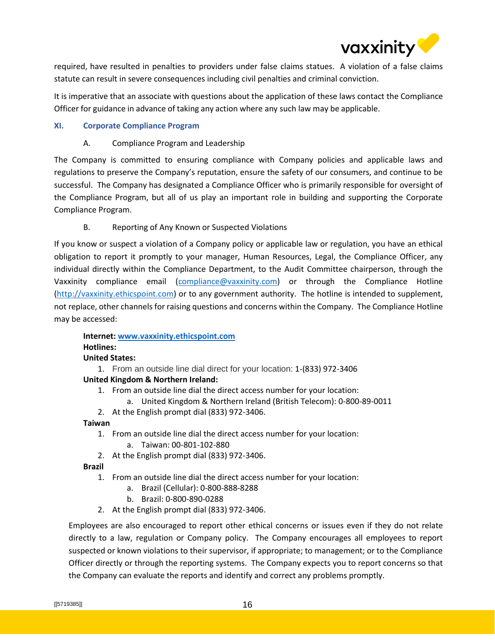

required, have resulted in penalties to providers under false claims statues. A violation of a false claims statute can result in severe consequences including civil penalties and criminal conviction.

It is imperative that an associate with questions about the application of these laws contact the Compliance Officer for guidance in advance of taking any action where any such law may be applicable.

### <span id="page-15-1"></span><span id="page-15-0"></span>**XI. Corporate Compliance Program**

#### A. Compliance Program and Leadership

The Company is committed to ensuring compliance with Company policies and applicable laws and regulations to preserve the Company's reputation, ensure the safety of our consumers, and continue to be successful. The Company has designated a Compliance Officer who is primarily responsible for oversight of the Compliance Program, but all of us play an important role in building and supporting the Corporate Compliance Program.

## B. Reporting of Any Known or Suspected Violations

<span id="page-15-2"></span>If you know or suspect a violation of a Company policy or applicable law or regulation, you have an ethical obligation to report it promptly to your manager, Human Resources, Legal, the Compliance Officer, any individual directly within the Compliance Department, to the Audit Committee chairperson, through the Vaxxinity compliance email [\(compliance@vaxxinity.com\)](mailto:compliance@vaxxinity.com) or through the Compliance Hotline [\(http://vaxxinity.ethicspoint.com\)](http://vaxxinity.ethicspoint.com/) or to any government authority. The hotline is intended to supplement, not replace, other channels for raising questions and concerns within the Company. The Compliance Hotline may be accessed:

# **Internet: [www.vaxxinity.ethicspoint.com](http://www.vaxxinity.ethicspoint.com/)**

# **Hotlines:**

## **United States:**

1. From an outside line dial direct for your location: 1-(833) 972-3406

## **United Kingdom & Northern Ireland:**

- 1. From an outside line dial the direct access number for your location:
	- a. United Kingdom & Northern Ireland (British Telecom): 0-800-89-0011
- 2. At the English prompt dial (833) 972-3406.

**Taiwan**

- 1. From an outside line dial the direct access number for your location:
	- a. Taiwan: 00-801-102-880
- 2. At the English prompt dial (833) 972-3406.

**Brazil**

- 1. From an outside line dial the direct access number for your location:
	- a. Brazil (Cellular): 0-800-888-8288
	- b. Brazil: 0-800-890-0288
- 2. At the English prompt dial (833) 972-3406.

Employees are also encouraged to report other ethical concerns or issues even if they do not relate directly to a law, regulation or Company policy. The Company encourages all employees to report suspected or known violations to their supervisor, if appropriate; to management; or to the Compliance Officer directly or through the reporting systems. The Company expects you to report concerns so that the Company can evaluate the reports and identify and correct any problems promptly.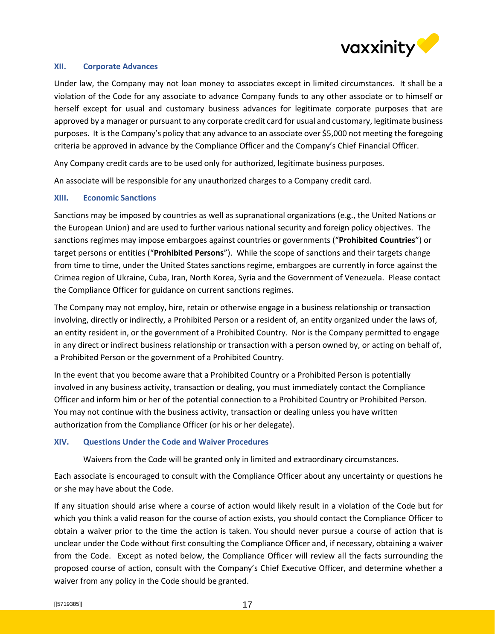

#### <span id="page-16-0"></span>**XII. Corporate Advances**

Under law, the Company may not loan money to associates except in limited circumstances. It shall be a violation of the Code for any associate to advance Company funds to any other associate or to himself or herself except for usual and customary business advances for legitimate corporate purposes that are approved by a manager or pursuant to any corporate credit card for usual and customary, legitimate business purposes. It is the Company's policy that any advance to an associate over \$5,000 not meeting the foregoing criteria be approved in advance by the Compliance Officer and the Company's Chief Financial Officer.

Any Company credit cards are to be used only for authorized, legitimate business purposes.

An associate will be responsible for any unauthorized charges to a Company credit card.

#### <span id="page-16-1"></span>**XIII. Economic Sanctions**

Sanctions may be imposed by countries as well as supranational organizations (e.g., the United Nations or the European Union) and are used to further various national security and foreign policy objectives. The sanctions regimes may impose embargoes against countries or governments ("**Prohibited Countries**") or target persons or entities ("**Prohibited Persons**"). While the scope of sanctions and their targets change from time to time, under the United States sanctions regime, embargoes are currently in force against the Crimea region of Ukraine, Cuba, Iran, North Korea, Syria and the Government of Venezuela. Please contact the Compliance Officer for guidance on current sanctions regimes.

The Company may not employ, hire, retain or otherwise engage in a business relationship or transaction involving, directly or indirectly, a Prohibited Person or a resident of, an entity organized under the laws of, an entity resident in, or the government of a Prohibited Country. Nor is the Company permitted to engage in any direct or indirect business relationship or transaction with a person owned by, or acting on behalf of, a Prohibited Person or the government of a Prohibited Country.

In the event that you become aware that a Prohibited Country or a Prohibited Person is potentially involved in any business activity, transaction or dealing, you must immediately contact the Compliance Officer and inform him or her of the potential connection to a Prohibited Country or Prohibited Person. You may not continue with the business activity, transaction or dealing unless you have written authorization from the Compliance Officer (or his or her delegate).

#### <span id="page-16-3"></span><span id="page-16-2"></span>**XIV. Questions Under the Code and Waiver Procedures**

Waivers from the Code will be granted only in limited and extraordinary circumstances.

Each associate is encouraged to consult with the Compliance Officer about any uncertainty or questions he or she may have about the Code.

If any situation should arise where a course of action would likely result in a violation of the Code but for which you think a valid reason for the course of action exists, you should contact the Compliance Officer to obtain a waiver prior to the time the action is taken. You should never pursue a course of action that is unclear under the Code without first consulting the Compliance Officer and, if necessary, obtaining a waiver from the Code. Except as noted below, the Compliance Officer will review all the facts surrounding the proposed course of action, consult with the Company's Chief Executive Officer, and determine whether a waiver from any policy in the Code should be granted.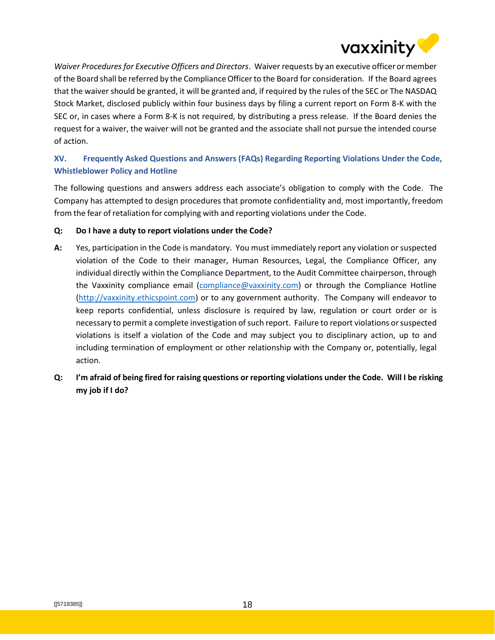

*Waiver Procedures for Executive Officers and Directors*. Waiver requests by an executive officer ormember of the Board shall be referred by the ComplianceOfficer to the Board for consideration. If the Board agrees that the waiver should be granted, it will be granted and, if required by the rules of the SEC or The NASDAQ Stock Market, disclosed publicly within four business days by filing a current report on Form 8-K with the SEC or, in cases where a Form 8-K is not required, by distributing a press release. If the Board denies the request for a waiver, the waiver will not be granted and the associate shall not pursue the intended course of action.

## <span id="page-17-0"></span>**XV. Frequently Asked Questions and Answers (FAQs) Regarding Reporting Violations Under the Code, Whistleblower Policy and Hotline**

The following questions and answers address each associate's obligation to comply with the Code. The Company has attempted to design procedures that promote confidentiality and, most importantly, freedom from the fear of retaliation for complying with and reporting violations under the Code.

## **Q: Do I have a duty to report violations under the Code?**

- **A:** Yes, participation in the Code is mandatory. You must immediately report any violation or suspected violation of the Code to their manager, Human Resources, Legal, the Compliance Officer, any individual directly within the Compliance Department, to the Audit Committee chairperson, through the Vaxxinity compliance email [\(compliance@vaxxinity.com\)](mailto:compliance@vaxxinity.com) or through the Compliance Hotline [\(http://vaxxinity.ethicspoint.com\)](http://vaxxinity.ethicspoint.com/) or to any government authority. The Company will endeavor to keep reports confidential, unless disclosure is required by law, regulation or court order or is necessary to permit a complete investigation of such report. Failure to report violations orsuspected violations is itself a violation of the Code and may subject you to disciplinary action, up to and including termination of employment or other relationship with the Company or, potentially, legal action.
- **Q: I'm afraid of being fired for raising questions or reporting violations under the Code. Will I be risking my job if I do?**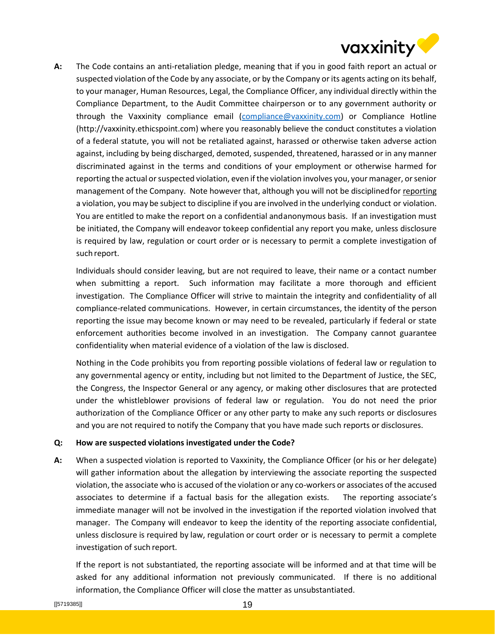

**A:** The Code contains an anti-retaliation pledge, meaning that if you in good faith report an actual or suspected violation of the Code by any associate, or by the Company or its agents acting on its behalf, to your manager, Human Resources, Legal, the Compliance Officer, any individual directly within the Compliance Department, to the Audit Committee chairperson or to any government authority or through the Vaxxinity compliance email [\(compliance@vaxxinity.com\)](mailto:compliance@vaxxinity.com) or Compliance Hotline (http://vaxxinity.ethicspoint.com) where you reasonably believe the conduct constitutes a violation of a federal statute, you will not be retaliated against, harassed or otherwise taken adverse action against, including by being discharged, demoted, suspended, threatened, harassed or in any manner discriminated against in the terms and conditions of your employment or otherwise harmed for reporting the actual or suspected violation, even if the violation involves you, your manager, or senior management of the Company. Note however that, although you will not be disciplined for reporting a violation, you may be subject to discipline if you are involved in the underlying conduct or violation. You are entitled to make the report on a confidential andanonymous basis. If an investigation must be initiated, the Company will endeavor tokeep confidential any report you make, unless disclosure is required by law, regulation or court order or is necessary to permit a complete investigation of such report.

Individuals should consider leaving, but are not required to leave, their name or a contact number when submitting a report. Such information may facilitate a more thorough and efficient investigation. The Compliance Officer will strive to maintain the integrity and confidentiality of all compliance-related communications. However, in certain circumstances, the identity of the person reporting the issue may become known or may need to be revealed, particularly if federal or state enforcement authorities become involved in an investigation. The Company cannot guarantee confidentiality when material evidence of a violation of the law is disclosed.

Nothing in the Code prohibits you from reporting possible violations of federal law or regulation to any governmental agency or entity, including but not limited to the Department of Justice, the SEC, the Congress, the Inspector General or any agency, or making other disclosures that are protected under the whistleblower provisions of federal law or regulation. You do not need the prior authorization of the Compliance Officer or any other party to make any such reports or disclosures and you are not required to notify the Company that you have made such reports or disclosures.

#### **Q: How are suspected violations investigated under the Code?**

**A:** When a suspected violation is reported to Vaxxinity, the Compliance Officer (or his or her delegate) will gather information about the allegation by interviewing the associate reporting the suspected violation, the associate who is accused of the violation or any co-workers or associates of the accused associates to determine if a factual basis for the allegation exists. The reporting associate's immediate manager will not be involved in the investigation if the reported violation involved that manager. The Company will endeavor to keep the identity of the reporting associate confidential, unless disclosure is required by law, regulation or court order or is necessary to permit a complete investigation of such report.

If the report is not substantiated, the reporting associate will be informed and at that time will be asked for any additional information not previously communicated. If there is no additional information, the Compliance Officer will close the matter as unsubstantiated.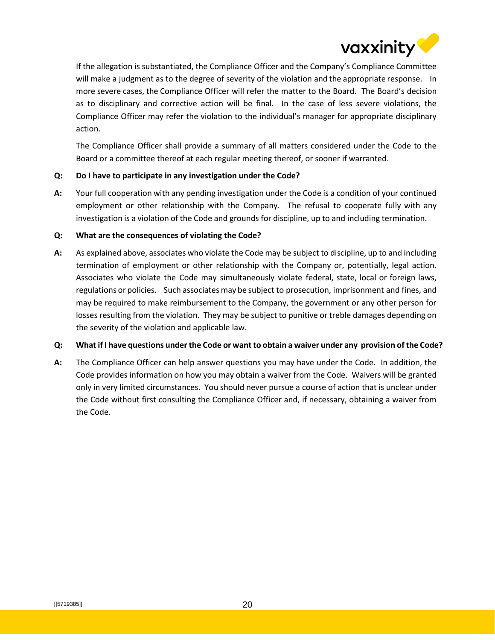

If the allegation is substantiated, the Compliance Officer and the Company's Compliance Committee will make a judgment as to the degree of severity of the violation and the appropriate response. In more severe cases, the Compliance Officer will refer the matter to the Board. The Board's decision as to disciplinary and corrective action will be final. In the case of less severe violations, the Compliance Officer may refer the violation to the individual's manager for appropriate disciplinary action.

The Compliance Officer shall provide a summary of all matters considered under the Code to the Board or a committee thereof at each regular meeting thereof, or sooner if warranted.

## **Q: Do I have to participate in any investigation under the Code?**

**A:** Your full cooperation with any pending investigation under the Code is a condition of your continued employment or other relationship with the Company. The refusal to cooperate fully with any investigation is a violation of the Code and grounds for discipline, up to and including termination.

#### **Q: What are the consequences of violating the Code?**

**A:** As explained above, associates who violate the Code may be subject to discipline, up to and including termination of employment or other relationship with the Company or, potentially, legal action. Associates who violate the Code may simultaneously violate federal, state, local or foreign laws, regulations or policies. Such associatesmay be subject to prosecution, imprisonment and fines, and may be required to make reimbursement to the Company, the government or any other person for losses resulting from the violation. They may be subject to punitive or treble damages depending on the severity of the violation and applicable law.

#### **Q: What if I have questions under the Code or want to obtain a waiver under any provision of the Code?**

**A:** The Compliance Officer can help answer questions you may have under the Code. In addition, the Code provides information on how you may obtain a waiver from the Code. Waivers will be granted only in very limited circumstances. You should never pursue a course of action that is unclear under the Code without first consulting the Compliance Officer and, if necessary, obtaining a waiver from the Code.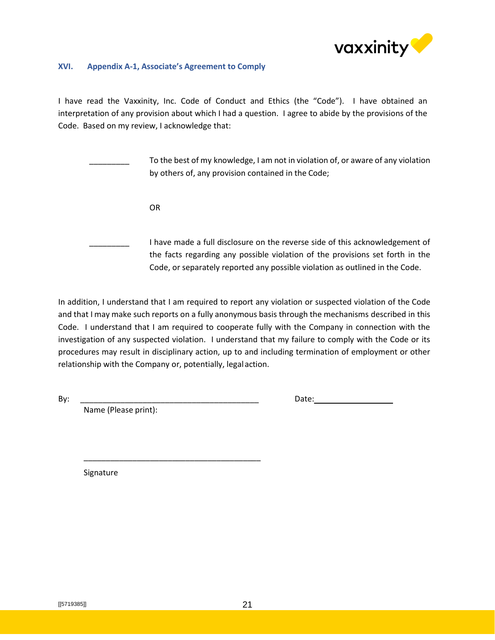

#### <span id="page-20-0"></span>**XVI. Appendix A-1, Associate's Agreement to Comply**

I have read the Vaxxinity, Inc. Code of Conduct and Ethics (the "Code"). I have obtained an interpretation of any provision about which I had a question. I agree to abide by the provisions of the Code. Based on my review, I acknowledge that:

> To the best of my knowledge, I am not in violation of, or aware of any violation by others of, any provision contained in the Code;

> > OR

I have made a full disclosure on the reverse side of this acknowledgement of the facts regarding any possible violation of the provisions set forth in the Code, or separately reported any possible violation as outlined in the Code.

In addition, I understand that I am required to report any violation or suspected violation of the Code and that I may make such reports on a fully anonymous basis through the mechanisms described in this Code. I understand that I am required to cooperate fully with the Company in connection with the investigation of any suspected violation. I understand that my failure to comply with the Code or its procedures may result in disciplinary action, up to and including termination of employment or other relationship with the Company or, potentially, legalaction.

Name (Please print):

\_\_\_\_\_\_\_\_\_\_\_\_\_\_\_\_\_\_\_\_\_\_\_\_\_\_\_\_\_\_\_\_\_\_\_\_\_\_\_\_

By: \_\_\_\_\_\_\_\_\_\_\_\_\_\_\_\_\_\_\_\_\_\_\_\_\_\_\_\_\_\_\_\_\_\_\_\_\_\_\_\_ Date:

Signature